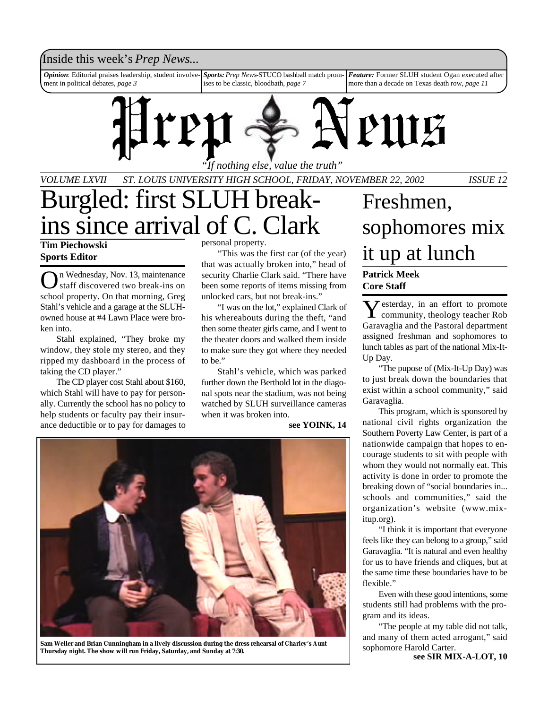# Inside this week's *Prep News*...

*Opinion*: Editorial praises leadership, student involvement in political debates, *page 3 Sports:Prep News*-STUCO bashball match promises to be classic, bloodbath, *page 7 Feature:* Former SLUH student Ogan executed after more than a decade on Texas death row, *page 11*



*VOLUME LXVII ST. LOUIS UNIVERSITY HIGH SCHOOL, FRIDAY, NOVEMBER 22, 2002 ISSUE 12*

# Burgled: first SLUH breakins since arrival of C. Clark

**Tim Piechowski Sports Editor**

On Wednesday, Nov. 13, maintenance<br>staff discovered two break-ins on n Wednesday, Nov. 13, maintenance school property. On that morning, Greg Stahl's vehicle and a garage at the SLUHowned house at #4 Lawn Place were broken into.

Stahl explained, "They broke my window, they stole my stereo, and they ripped my dashboard in the process of taking the CD player."

The CD player cost Stahl about \$160, which Stahl will have to pay for personally. Currently the school has no policy to help students or faculty pay their insurance deductible or to pay for damages to personal property.

"This was the first car (of the year) that was actually broken into," head of security Charlie Clark said. "There have been some reports of items missing from unlocked cars, but not break-ins."

"I was on the lot," explained Clark of his whereabouts during the theft, "and then some theater girls came, and I went to the theater doors and walked them inside to make sure they got where they needed to be."

Stahl's vehicle, which was parked further down the Berthold lot in the diagonal spots near the stadium, was not being watched by SLUH surveillance cameras when it was broken into.

**see YOINK, 14**



**Sam Weller and Brian Cunningham in a lively discussion during the dress rehearsal of** *Charley's Aunt* **Thursday night. The show will run Friday, Saturday, and Sunday at 7:30.**

# Freshmen, sophomores mix it up at lunch

## **Patrick Meek Core Staff**

 $\sum$ esterday, in an effort to promote<br>community, theology teacher Rob  $\sum$  esterday, in an effort to promote Garavaglia and the Pastoral department assigned freshman and sophomores to lunch tables as part of the national Mix-It-Up Day.

"The pupose of (Mix-It-Up Day) was to just break down the boundaries that exist within a school community," said Garavaglia.

This program, which is sponsored by national civil rights organization the Southern Poverty Law Center, is part of a nationwide campaign that hopes to encourage students to sit with people with whom they would not normally eat. This activity is done in order to promote the breaking down of "social boundaries in... schools and communities," said the organization's website (www.mixitup.org).

"I think it is important that everyone feels like they can belong to a group," said Garavaglia. "It is natural and even healthy for us to have friends and cliques, but at the same time these boundaries have to be flexible."

Even with these good intentions, some students still had problems with the program and its ideas.

"The people at my table did not talk, and many of them acted arrogant," said sophomore Harold Carter.

**see SIR MIX-A-LOT, 10**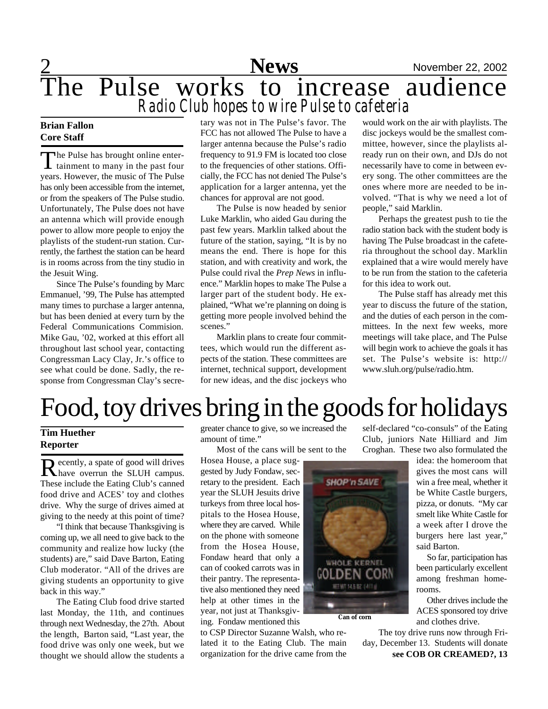2 **News** November 22, 2002

# The Pulse works to increase audience *Radio Club hopes to wire Pulse to cafeteria*

## **Brian Fallon Core Staff**

The Pulse has brought online enter-<br>tainment to many in the past four he Pulse has brought online enteryears. However, the music of The Pulse has only been accessible from the internet, or from the speakers of The Pulse studio. Unfortunately, The Pulse does not have an antenna which will provide enough power to allow more people to enjoy the playlists of the student-run station. Currently, the farthest the station can be heard is in rooms across from the tiny studio in the Jesuit Wing.

Since The Pulse's founding by Marc Emmanuel, '99, The Pulse has attempted many times to purchase a larger antenna, but has been denied at every turn by the Federal Communications Commision. Mike Gau, '02, worked at this effort all throughout last school year, contacting Congressman Lacy Clay, Jr.'s office to see what could be done. Sadly, the response from Congressman Clay's secretary was not in The Pulse's favor. The FCC has not allowed The Pulse to have a larger antenna because the Pulse's radio frequency to 91.9 FM is located too close to the frequencies of other stations. Officially, the FCC has not denied The Pulse's application for a larger antenna, yet the chances for approval are not good.

The Pulse is now headed by senior Luke Marklin, who aided Gau during the past few years. Marklin talked about the future of the station, saying, "It is by no means the end. There is hope for this station, and with creativity and work, the Pulse could rival the *Prep News* in influence." Marklin hopes to make The Pulse a larger part of the student body. He explained, "What we're planning on doing is getting more people involved behind the scenes."

Marklin plans to create four committees, which would run the different aspects of the station. These committees are internet, technical support, development for new ideas, and the disc jockeys who

would work on the air with playlists. The disc jockeys would be the smallest committee, however, since the playlists already run on their own, and DJs do not necessarily have to come in between every song. The other committees are the ones where more are needed to be involved. "That is why we need a lot of people," said Marklin.

Perhaps the greatest push to tie the radio station back with the student body is having The Pulse broadcast in the cafeteria throughout the school day. Marklin explained that a wire would merely have to be run from the station to the cafeteria for this idea to work out.

The Pulse staff has already met this year to discuss the future of the station, and the duties of each person in the committees. In the next few weeks, more meetings will take place, and The Pulse will begin work to achieve the goals it has set. The Pulse's website is: http:// www.sluh.org/pulse/radio.htm.

# Food, toy drives bring in the goods for holidays

## **Tim Huether Reporter**

Recently, a spate of good will drives ecently, a spate of good will drives These include the Eating Club's canned food drive and ACES' toy and clothes drive. Why the surge of drives aimed at giving to the needy at this point of time?

"I think that because Thanksgiving is coming up, we all need to give back to the community and realize how lucky (the students) are," said Dave Barton, Eating Club moderator. "All of the drives are giving students an opportunity to give back in this way."

The Eating Club food drive started last Monday, the 11th, and continues through next Wednesday, the 27th. About the length, Barton said, "Last year, the food drive was only one week, but we thought we should allow the students a greater chance to give, so we increased the amount of time."

Most of the cans will be sent to the

Hosea House, a place suggested by Judy Fondaw, secretary to the president. Each year the SLUH Jesuits drive turkeys from three local hospitals to the Hosea House, where they are carved. While on the phone with someone from the Hosea House, Fondaw heard that only a can of cooked carrots was in their pantry. The representative also mentioned they need help at other times in the year, not just at Thanksgiving. Fondaw mentioned this

to CSP Director Suzanne Walsh, who related it to the Eating Club. The main organization for the drive came from the

self-declared "co-consuls" of the Eating Club, juniors Nate Hilliard and Jim Croghan. These two also formulated the

idea: the homeroom that gives the most cans will win a free meal, whether it be White Castle burgers, pizza, or donuts. "My car smelt like White Castle for a week after I drove the burgers here last year," said Barton.

So far, participation has been particularly excellent among freshman homerooms.

Other drives include the ACES sponsored toy drive and clothes drive.

The toy drive runs now through Friday, December 13. Students will donate **see COB OR CREAMED?, 13**

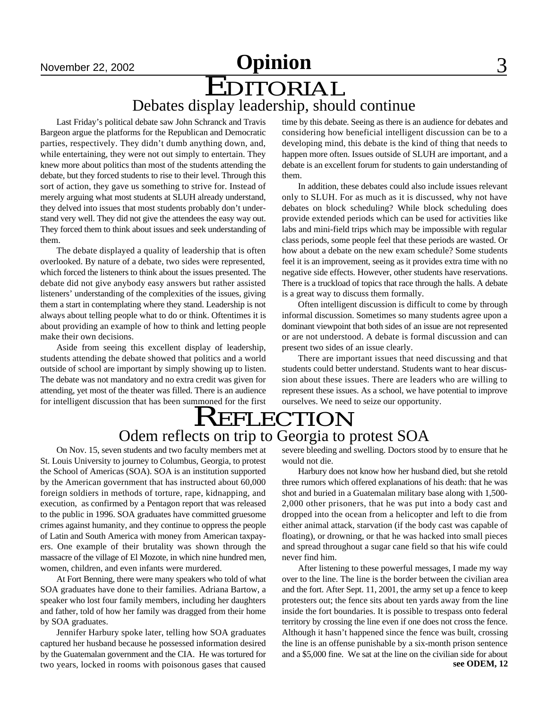# November 22, 2002 **Opinion** 3

EDITORIAL Debates display leadership, should continue

Last Friday's political debate saw John Schranck and Travis Bargeon argue the platforms for the Republican and Democratic parties, respectively. They didn't dumb anything down, and, while entertaining, they were not out simply to entertain. They knew more about politics than most of the students attending the debate, but they forced students to rise to their level. Through this sort of action, they gave us something to strive for. Instead of merely arguing what most students at SLUH already understand, they delved into issues that most students probably don't understand very well. They did not give the attendees the easy way out. They forced them to think about issues and seek understanding of them.

The debate displayed a quality of leadership that is often overlooked. By nature of a debate, two sides were represented, which forced the listeners to think about the issues presented. The debate did not give anybody easy answers but rather assisted listeners' understanding of the complexities of the issues, giving them a start in contemplating where they stand. Leadership is not always about telling people what to do or think. Oftentimes it is about providing an example of how to think and letting people make their own decisions.

Aside from seeing this excellent display of leadership, students attending the debate showed that politics and a world outside of school are important by simply showing up to listen. The debate was not mandatory and no extra credit was given for attending, yet most of the theater was filled. There is an audience for intelligent discussion that has been summoned for the first time by this debate. Seeing as there is an audience for debates and considering how beneficial intelligent discussion can be to a developing mind, this debate is the kind of thing that needs to happen more often. Issues outside of SLUH are important, and a debate is an excellent forum for students to gain understanding of them.

In addition, these debates could also include issues relevant only to SLUH. For as much as it is discussed, why not have debates on block scheduling? While block scheduling does provide extended periods which can be used for activities like labs and mini-field trips which may be impossible with regular class periods, some people feel that these periods are wasted. Or how about a debate on the new exam schedule? Some students feel it is an improvement, seeing as it provides extra time with no negative side effects. However, other students have reservations. There is a truckload of topics that race through the halls. A debate is a great way to discuss them formally.

Often intelligent discussion is difficult to come by through informal discussion. Sometimes so many students agree upon a dominant viewpoint that both sides of an issue are not represented or are not understood. A debate is formal discussion and can present two sides of an issue clearly.

There are important issues that need discussing and that students could better understand. Students want to hear discussion about these issues. There are leaders who are willing to represent these issues. As a school, we have potential to improve ourselves. We need to seize our opportunity.

# **REFLECTION** Odem reflects on trip to Georgia to protest SOA

On Nov. 15, seven students and two faculty members met at St. Louis University to journey to Columbus, Georgia, to protest the School of Americas (SOA). SOA is an institution supported by the American government that has instructed about 60,000 foreign soldiers in methods of torture, rape, kidnapping, and execution, as confirmed by a Pentagon report that was released to the public in 1996. SOA graduates have committed gruesome crimes against humanity, and they continue to oppress the people of Latin and South America with money from American taxpayers. One example of their brutality was shown through the massacre of the village of El Mozote, in which nine hundred men, women, children, and even infants were murdered.

At Fort Benning, there were many speakers who told of what SOA graduates have done to their families. Adriana Bartow, a speaker who lost four family members, including her daughters and father, told of how her family was dragged from their home by SOA graduates.

Jennifer Harbury spoke later, telling how SOA graduates captured her husband because he possessed information desired by the Guatemalan government and the CIA. He was tortured for two years, locked in rooms with poisonous gases that caused severe bleeding and swelling. Doctors stood by to ensure that he would not die.

Harbury does not know how her husband died, but she retold three rumors which offered explanations of his death: that he was shot and buried in a Guatemalan military base along with 1,500- 2,000 other prisoners, that he was put into a body cast and dropped into the ocean from a helicopter and left to die from either animal attack, starvation (if the body cast was capable of floating), or drowning, or that he was hacked into small pieces and spread throughout a sugar cane field so that his wife could never find him.

After listening to these powerful messages, I made my way over to the line. The line is the border between the civilian area and the fort. After Sept. 11, 2001, the army set up a fence to keep protesters out; the fence sits about ten yards away from the line inside the fort boundaries. It is possible to trespass onto federal territory by crossing the line even if one does not cross the fence. Although it hasn't happened since the fence was built, crossing the line is an offense punishable by a six-month prison sentence and a \$5,000 fine. We sat at the line on the civilian side for about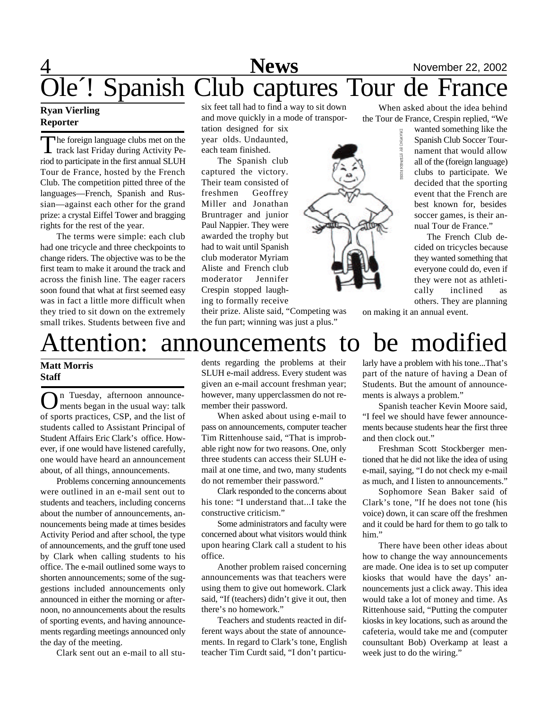# 4 **News** November 22, 2002 Ole´! Spanish Club captures Tour de France

## **Ryan Vierling Reporter**

The foreign language clubs met on the<br>track last Friday during Activity Pe-The foreign language clubs met on the riod to participate in the first annual SLUH Tour de France, hosted by the French Club. The competition pitted three of the languages—French, Spanish and Russian—against each other for the grand prize: a crystal Eiffel Tower and bragging rights for the rest of the year.

The terms were simple: each club had one tricycle and three checkpoints to change riders. The objective was to be the first team to make it around the track and across the finish line. The eager racers soon found that what at first seemed easy was in fact a little more difficult when they tried to sit down on the extremely small trikes. Students between five and

six feet tall had to find a way to sit down and move quickly in a mode of transpor-

tation designed for six year olds. Undaunted, each team finished.

The Spanish club captured the victory. Their team consisted of freshmen Geoffrey Miller and Jonathan Bruntrager and junior Paul Nappier. They were awarded the trophy but had to wait until Spanish club moderator Myriam Aliste and French club moderator Jennifer Crespin stopped laughing to formally receive



their prize. Aliste said, "Competing was the fun part; winning was just a plus."

When asked about the idea behind the Tour de France, Crespin replied, "We

> wanted something like the Spanish Club Soccer Tournament that would allow all of the (foreign language) clubs to participate. We decided that the sporting event that the French are best known for, besides soccer games, is their annual Tour de France."

> The French Club decided on tricycles because they wanted something that everyone could do, even if they were not as athletically inclined as others. They are planning

on making it an annual event.

# Attention: announcements to be modified

## **Matt Morris Staff**

On Tuesday, afternoon announce-<br>
ments began in the usual way: talk ments began in the usual way: talk of sports practices, CSP, and the list of students called to Assistant Principal of Student Affairs Eric Clark's office. However, if one would have listened carefully, one would have heard an announcement about, of all things, announcements.

Problems concerning announcements were outlined in an e-mail sent out to students and teachers, including concerns about the number of announcements, announcements being made at times besides Activity Period and after school, the type of announcements, and the gruff tone used by Clark when calling students to his office. The e-mail outlined some ways to shorten announcements; some of the suggestions included announcements only announced in either the morning or afternoon, no announcements about the results of sporting events, and having announcements regarding meetings announced only the day of the meeting.

Clark sent out an e-mail to all stu-

dents regarding the problems at their SLUH e-mail address. Every student was given an e-mail account freshman year; however, many upperclassmen do not remember their password.

When asked about using e-mail to pass on announcements, computer teacher Tim Rittenhouse said, "That is improbable right now for two reasons. One, only three students can access their SLUH email at one time, and two, many students do not remember their password."

Clark responded to the concerns about his tone: "I understand that...I take the constructive criticism."

Some administrators and faculty were concerned about what visitors would think upon hearing Clark call a student to his office.

Another problem raised concerning announcements was that teachers were using them to give out homework. Clark said, "If (teachers) didn't give it out, then there's no homework."

Teachers and students reacted in different ways about the state of announcements. In regard to Clark's tone, English teacher Tim Curdt said, "I don't particularly have a problem with his tone...That's part of the nature of having a Dean of Students. But the amount of announcements is always a problem."

Spanish teacher Kevin Moore said, "I feel we should have fewer announcements because students hear the first three and then clock out."

Freshman Scott Stockberger mentioned that he did not like the idea of using e-mail, saying, "I do not check my e-mail as much, and I listen to announcements."

Sophomore Sean Baker said of Clark's tone, "If he does not tone (his voice) down, it can scare off the freshmen and it could be hard for them to go talk to him."

There have been other ideas about how to change the way announcements are made. One idea is to set up computer kiosks that would have the days' announcements just a click away. This idea would take a lot of money and time. As Rittenhouse said, "Putting the computer kiosks in key locations, such as around the cafeteria, would take me and (computer counsultant Bob) Overkamp at least a week just to do the wiring."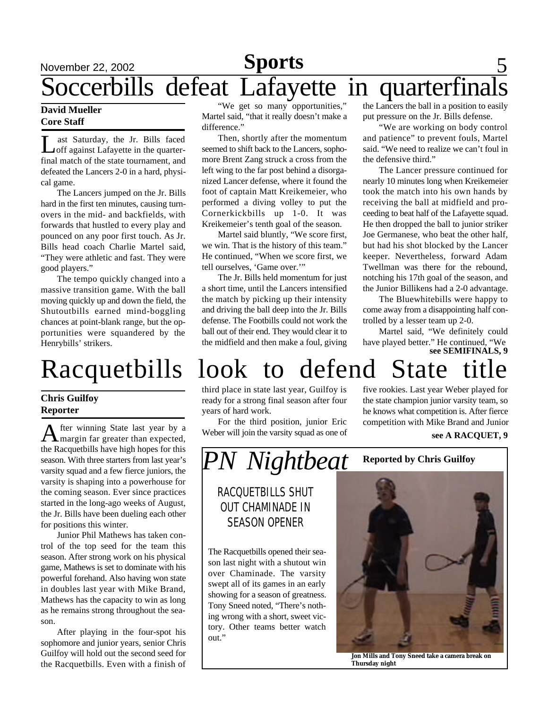# November 22, 2002 **Sports** 5 Soccerbills defeat Lafayette in quarterfinals

## **David Mueller Core Staff**

 $\prod_{\alpha\in\mathbb{Z}}$ ast Saturday, the Jr. Bills faced off against Lafayette in the quarterfinal match of the state tournament, and defeated the Lancers 2-0 in a hard, physical game.

The Lancers jumped on the Jr. Bills hard in the first ten minutes, causing turnovers in the mid- and backfields, with forwards that hustled to every play and pounced on any poor first touch. As Jr. Bills head coach Charlie Martel said, "They were athletic and fast. They were good players."

The tempo quickly changed into a massive transition game. With the ball moving quickly up and down the field, the Shutoutbills earned mind-boggling chances at point-blank range, but the opportunities were squandered by the Henrybills' strikers.

## **Chris Guilfoy Reporter**

A fter winning State last year by a margin far greater than expected, fter winning State last year by a the Racquetbills have high hopes for this season. With three starters from last year's varsity squad and a few fierce juniors, the varsity is shaping into a powerhouse for the coming season. Ever since practices started in the long-ago weeks of August, the Jr. Bills have been dueling each other for positions this winter.

Junior Phil Mathews has taken control of the top seed for the team this season. After strong work on his physical game, Mathews is set to dominate with his powerful forehand. Also having won state in doubles last year with Mike Brand, Mathews has the capacity to win as long as he remains strong throughout the season.

After playing in the four-spot his sophomore and junior years, senior Chris Guilfoy will hold out the second seed for the Racquetbills. Even with a finish of

"We get so many opportunities," Martel said, "that it really doesn't make a difference."

Then, shortly after the momentum seemed to shift back to the Lancers, sophomore Brent Zang struck a cross from the left wing to the far post behind a disorganized Lancer defense, where it found the foot of captain Matt Kreikemeier, who performed a diving volley to put the Cornerkickbills up 1-0. It was Kreikemeier's tenth goal of the season.

Martel said bluntly, "We score first, we win. That is the history of this team." He continued, "When we score first, we tell ourselves, 'Game over.'"

The Jr. Bills held momentum for just a short time, until the Lancers intensified the match by picking up their intensity and driving the ball deep into the Jr. Bills defense. The Footbills could not work the ball out of their end. They would clear it to the midfield and then make a foul, giving

the Lancers the ball in a position to easily put pressure on the Jr. Bills defense.

"We are working on body control and patience" to prevent fouls, Martel said. "We need to realize we can't foul in the defensive third."

The Lancer pressure continued for nearly 10 minutes long when Kreikemeier took the match into his own hands by receiving the ball at midfield and proceeding to beat half of the Lafayette squad. He then dropped the ball to junior striker Joe Germanese, who beat the other half, but had his shot blocked by the Lancer keeper. Nevertheless, forward Adam Twellman was there for the rebound, notching his 17th goal of the season, and the Junior Billikens had a 2-0 advantage.

The Bluewhitebills were happy to come away from a disappointing half controlled by a lesser team up 2-0.

Martel said, "We definitely could have played better." He continued, "We **see SEMIFINALS, 9**

# Racquetbills look to defend State title

third place in state last year, Guilfoy is ready for a strong final season after four years of hard work.

For the third position, junior Eric Weber will join the varsity squad as one of five rookies. Last year Weber played for the state champion junior varsity team, so he knows what competition is. After fierce competition with Mike Brand and Junior

### **see A RACQUET, 9**



# RACQUETBILLS SHUT OUT CHAMINADE IN SEASON OPENER

The Racquetbills opened their season last night with a shutout win over Chaminade. The varsity swept all of its games in an early showing for a season of greatness. Tony Sneed noted, "There's nothing wrong with a short, sweet victory. Other teams better watch out."



**Jon Mills and Tony Sneed take a camera break on Thursday night**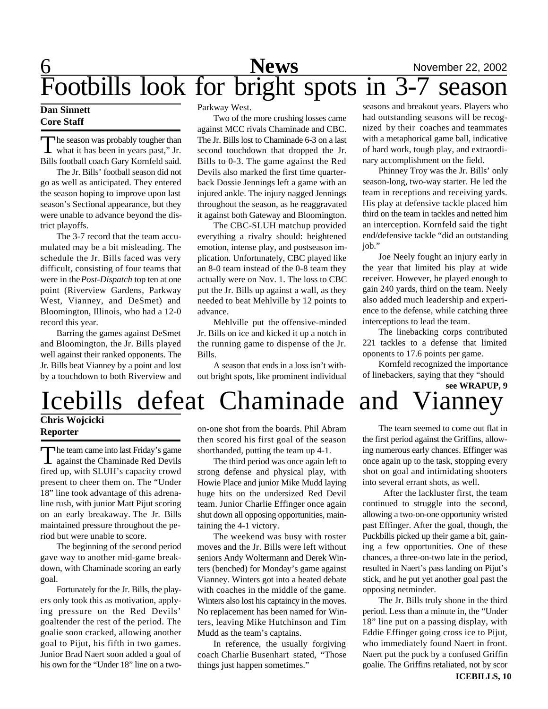# 6 **News** November 22, 2002 Footbills look for bright spots in 3-7 season

## **Dan Sinnett Core Staff**

The season was probably tougher than<br>what it has been in years past," Jr. The season was probably tougher than Bills football coach Gary Kornfeld said.

The Jr. Bills' football season did not go as well as anticipated. They entered the season hoping to improve upon last season's Sectional appearance, but they were unable to advance beyond the district playoffs.

The 3-7 record that the team accumulated may be a bit misleading. The schedule the Jr. Bills faced was very difficult, consisting of four teams that were in the *Post-Dispatch* top ten at one point (Riverview Gardens, Parkway West, Vianney, and DeSmet) and Bloomington, Illinois, who had a 12-0 record this year.

Barring the games against DeSmet and Bloomington, the Jr. Bills played well against their ranked opponents. The Jr. Bills beat Vianney by a point and lost by a touchdown to both Riverview and

### Parkway West.

Two of the more crushing losses came against MCC rivals Chaminade and CBC. The Jr. Bills lost to Chaminade 6-3 on a last second touchdown that dropped the Jr. Bills to 0-3. The game against the Red Devils also marked the first time quarterback Dossie Jennings left a game with an injured ankle. The injury nagged Jennings throughout the season, as he reaggravated it against both Gateway and Bloomington.

The CBC-SLUH matchup provided everything a rivalry should: heightened emotion, intense play, and postseason implication. Unfortunately, CBC played like an 8-0 team instead of the 0-8 team they actually were on Nov. 1. The loss to CBC put the Jr. Bills up against a wall, as they needed to beat Mehlville by 12 points to advance.

Mehlville put the offensive-minded Jr. Bills on ice and kicked it up a notch in the running game to dispense of the Jr. Bills.

A season that ends in a loss isn't without bright spots, like prominent individual

seasons and breakout years. Players who had outstanding seasons will be recognized by their coaches and teammates with a metaphorical game ball, indicative of hard work, tough play, and extraordinary accomplishment on the field.

Phinney Troy was the Jr. Bills' only season-long, two-way starter. He led the team in receptions and receiving yards. His play at defensive tackle placed him third on the team in tackles and netted him an interception. Kornfeld said the tight end/defensive tackle "did an outstanding job."

Joe Neely fought an injury early in the year that limited his play at wide receiver. However, he played enough to gain 240 yards, third on the team. Neely also added much leadership and experience to the defense, while catching three interceptions to lead the team.

The linebacking corps contributed 221 tackles to a defense that limited oponents to 17.6 points per game.

Kornfeld recognized the importance of linebackers, saying that they "should **see WRAPUP, 9**

# Icebills defeat Chaminade and Vianney

# **Chris Wojcicki Reporter**

The team came into last Friday's game<br>against the Chaminade Red Devils he team came into last Friday's game fired up, with SLUH's capacity crowd present to cheer them on. The "Under 18" line took advantage of this adrenaline rush, with junior Matt Pijut scoring on an early breakaway. The Jr. Bills maintained pressure throughout the period but were unable to score.

The beginning of the second period gave way to another mid-game breakdown, with Chaminade scoring an early goal.

Fortunately for the Jr. Bills, the players only took this as motivation, applying pressure on the Red Devils' goaltender the rest of the period. The goalie soon cracked, allowing another goal to Pijut, his fifth in two games. Junior Brad Naert soon added a goal of his own for the "Under 18" line on a twoon-one shot from the boards. Phil Abram then scored his first goal of the season shorthanded, putting the team up 4-1.

The third period was once again left to strong defense and physical play, with Howie Place and junior Mike Mudd laying huge hits on the undersized Red Devil team. Junior Charlie Effinger once again shut down all opposing opportunities, maintaining the 4-1 victory.

The weekend was busy with roster moves and the Jr. Bills were left without seniors Andy Woltermann and Derek Winters (benched) for Monday's game against Vianney. Winters got into a heated debate with coaches in the middle of the game. Winters also lost his captaincy in the moves. No replacement has been named for Winters, leaving Mike Hutchinson and Tim Mudd as the team's captains.

In reference, the usually forgiving coach Charlie Busenhart stated, "Those things just happen sometimes."

The team seemed to come out flat in the first period against the Griffins, allowing numerous early chances. Effinger was once again up to the task, stopping every shot on goal and intimidating shooters into several errant shots, as well.

 After the lackluster first, the team continued to struggle into the second, allowing a two-on-one opportunity wristed past Effinger. After the goal, though, the Puckbills picked up their game a bit, gaining a few opportunities. One of these chances, a three-on-two late in the period, resulted in Naert's pass landing on Pijut's stick, and he put yet another goal past the opposing netminder.

The Jr. Bills truly shone in the third period. Less than a minute in, the "Under 18" line put on a passing display, with Eddie Effinger going cross ice to Pijut, who immediately found Naert in front. Naert put the puck by a confused Griffin goalie. The Griffins retaliated, not by scor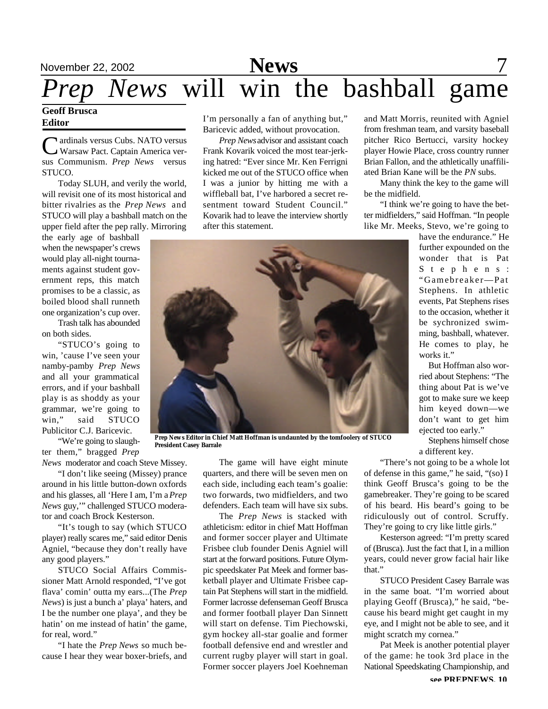# November 22, 2002 **News** 7 *Prep News* will win the bashball game

## **Geoff Brusca Editor**

Cardinals versus Cubs. NATO versus<br>Warsaw Pact. Captain America verardinals versus Cubs. NATO versus sus Communism. *Prep News* versus STUCO.

Today SLUH, and verily the world, will revisit one of its most historical and bitter rivalries as the *Prep News* and STUCO will play a bashball match on the upper field after the pep rally. Mirroring

the early age of bashball when the newspaper's crews would play all-night tournaments against student government reps, this match promises to be a classic, as boiled blood shall runneth one organization's cup over.

Trash talk has abounded on both sides.

"STUCO's going to win, 'cause I've seen your namby-pamby *Prep News* and all your grammatical errors, and if your bashball play is as shoddy as your grammar, we're going to win," said STUCO Publicitor C.J. Baricevic.

"We're going to slaughter them," bragged *Prep*

*News* moderator and coach Steve Missey.

"I don't like seeing (Missey) prance around in his little button-down oxfords and his glasses, all 'Here I am, I'm a *Prep News* guy,'" challenged STUCO moderator and coach Brock Kesterson.

"It's tough to say (which STUCO player) really scares me," said editor Denis Agniel, "because they don't really have any good players."

STUCO Social Affairs Commissioner Matt Arnold responded, "I've got flava' comin' outta my ears...(The *Prep News*) is just a bunch a' playa' haters, and I be the number one playa', and they be hatin' on me instead of hatin' the game, for real, word."

"I hate the *Prep News* so much because I hear they wear boxer-briefs, and I'm personally a fan of anything but," Baricevic added, without provocation.

*Prep News* advisor and assistant coach Frank Kovarik voiced the most tear-jerking hatred: "Ever since Mr. Ken Ferrigni kicked me out of the STUCO office when I was a junior by hitting me with a wiffleball bat, I've harbored a secret resentment toward Student Council." Kovarik had to leave the interview shortly after this statement.



*Prep News* **Editor in Chief Matt Hoffman is undaunted by the tomfoolery of STUCO President Casey Barrale**

The game will have eight minute quarters, and there will be seven men on each side, including each team's goalie: two forwards, two midfielders, and two defenders. Each team will have six subs.

The *Prep News* is stacked with athleticism: editor in chief Matt Hoffman and former soccer player and Ultimate Frisbee club founder Denis Agniel will start at the forward positions. Future Olympic speedskater Pat Meek and former basketball player and Ultimate Frisbee captain Pat Stephens will start in the midfield. Former lacrosse defenseman Geoff Brusca and former football player Dan Sinnett will start on defense. Tim Piechowski, gym hockey all-star goalie and former football defensive end and wrestler and current rugby player will start in goal. Former soccer players Joel Koehneman and Matt Morris, reunited with Agniel from freshman team, and varsity baseball pitcher Rico Bertucci, varsity hockey player Howie Place, cross country runner Brian Fallon, and the athletically unaffiliated Brian Kane will be the *PN* subs.

Many think the key to the game will be the midfield.

"I think we're going to have the better midfielders," said Hoffman. "In people like Mr. Meeks, Stevo, we're going to

have the endurance." He further expounded on the wonder that is Pat S t e p h e n s : "Gamebreaker—Pat Stephens. In athletic events, Pat Stephens rises to the occasion, whether it be sychronized swimming, bashball, whatever. He comes to play, he works it."

But Hoffman also worried about Stephens: "The thing about Pat is we've got to make sure we keep him keyed down—we don't want to get him ejected too early."

Stephens himself chose a different key.

"There's not going to be a whole lot of defense in this game," he said, "(so) I think Geoff Brusca's going to be the gamebreaker. They're going to be scared of his beard. His beard's going to be ridiculously out of control. Scruffy. They're going to cry like little girls."

Kesterson agreed: "I'm pretty scared of (Brusca). Just the fact that I, in a million years, could never grow facial hair like that."

STUCO President Casey Barrale was in the same boat. "I'm worried about playing Geoff (Brusca)," he said, "because his beard might get caught in my eye, and I might not be able to see, and it might scratch my cornea."

Pat Meek is another potential player of the game: he took 3rd place in the National Speedskating Championship, and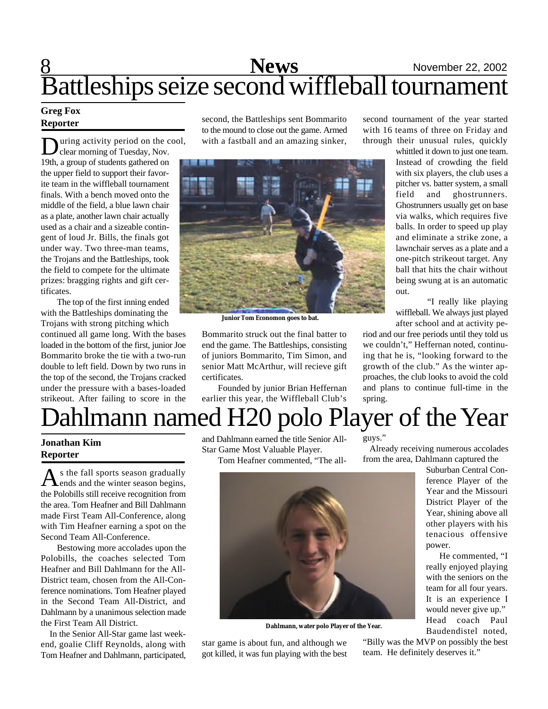# 8 **News** November 22, 2002 Battleships seize second wiffleball tournament

## **Greg Fox Reporter**

**D** uring activity period on the c<br>19th, a group of students gathered on uring activity period on the cool, clear morning of Tuesday, Nov. the upper field to support their favorite team in the wiffleball tournament finals. With a bench moved onto the middle of the field, a blue lawn chair as a plate, another lawn chair actually used as a chair and a sizeable contingent of loud Jr. Bills, the finals got under way. Two three-man teams, the Trojans and the Battleships, took the field to compete for the ultimate prizes: bragging rights and gift certificates.

The top of the first inning ended with the Battleships dominating the Trojans with strong pitching which

continued all game long. With the bases loaded in the bottom of the first, junior Joe Bommarito broke the tie with a two-run double to left field. Down by two runs in the top of the second, the Trojans cracked under the pressure with a bases-loaded strikeout. After failing to score in the

second, the Battleships sent Bommarito to the mound to close out the game. Armed with a fastball and an amazing sinker,



**Junior Tom Economon goes to bat.**

Bommarito struck out the final batter to end the game. The Battleships, consisting of juniors Bommarito, Tim Simon, and senior Matt McArthur, will recieve gift certificates.

Founded by junior Brian Heffernan earlier this year, the Wiffleball Club's second tournament of the year started with 16 teams of three on Friday and through their unusual rules, quickly

> whittled it down to just one team. Instead of crowding the field with six players, the club uses a pitcher vs. batter system, a small field and ghostrunners. Ghostrunners usually get on base via walks, which requires five balls. In order to speed up play and eliminate a strike zone, a lawnchair serves as a plate and a one-pitch strikeout target. Any ball that hits the chair without being swung at is an automatic out.

> "I really like playing wiffleball. We always just played after school and at activity pe-

riod and our free periods until they told us we couldn't," Heffernan noted, continuing that he is, "looking forward to the growth of the club." As the winter approaches, the club looks to avoid the cold and plans to continue full-time in the spring.

# Dahlmann named H20 polo Player of the Year

## **Jonathan Kim Reporter**

As the fall sports season gradually<br>ends and the winter season begins, s the fall sports season gradually the Polobills still receive recognition from the area. Tom Heafner and Bill Dahlmann made First Team All-Conference, along with Tim Heafner earning a spot on the Second Team All-Conference.

Bestowing more accolades upon the Polobills, the coaches selected Tom Heafner and Bill Dahlmann for the All-District team, chosen from the All-Conference nominations. Tom Heafner played in the Second Team All-District, and Dahlmann by a unanimous selection made the First Team All District.

 In the Senior All-Star game last weekend, goalie Cliff Reynolds, along with Tom Heafner and Dahlmann, participated, and Dahlmann earned the title Senior All-Star Game Most Valuable Player.

Tom Heafner commented, "The all-



**Dahlmann, water polo Player of the Year.**

star game is about fun, and although we got killed, it was fun playing with the best guys."

 Already receiving numerous accolades from the area, Dahlmann captured the

Suburban Central Conference Player of the Year and the Missouri District Player of the Year, shining above all other players with his tenacious offensive power.

 He commented, "I really enjoyed playing with the seniors on the team for all four years. It is an experience I would never give up." Head coach Paul Baudendistel noted,

"Billy was the MVP on possibly the best team. He definitely deserves it."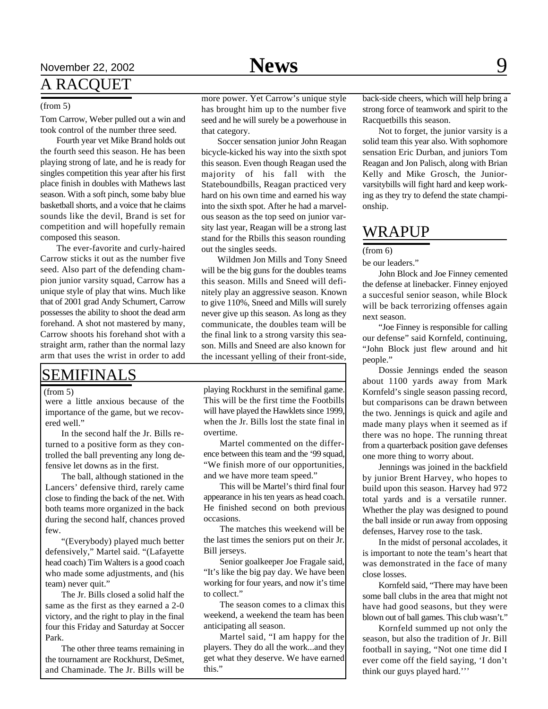# November 22, 2002 **News** 9 A RACQUET

#### (from 5)

Tom Carrow, Weber pulled out a win and took control of the number three seed.

Fourth year vet Mike Brand holds out the fourth seed this season. He has been playing strong of late, and he is ready for singles competition this year after his first place finish in doubles with Mathews last season. With a soft pinch, some baby blue basketball shorts, and a voice that he claims sounds like the devil, Brand is set for competition and will hopefully remain composed this season.

The ever-favorite and curly-haired Carrow sticks it out as the number five seed. Also part of the defending champion junior varsity squad, Carrow has a unique style of play that wins. Much like that of 2001 grad Andy Schumert, Carrow possesses the ability to shoot the dead arm forehand. A shot not mastered by many, Carrow shoots his forehand shot with a straight arm, rather than the normal lazy arm that uses the wrist in order to add

# SEMIFINALS

#### $(from 5)$

were a little anxious because of the importance of the game, but we recovered well."

In the second half the Jr. Bills returned to a positive form as they controlled the ball preventing any long defensive let downs as in the first.

The ball, although stationed in the Lancers' defensive third, rarely came close to finding the back of the net. With both teams more organized in the back during the second half, chances proved few.

"(Everybody) played much better defensively," Martel said. "(Lafayette head coach) Tim Walters is a good coach who made some adjustments, and (his team) never quit."

The Jr. Bills closed a solid half the same as the first as they earned a 2-0 victory, and the right to play in the final four this Friday and Saturday at Soccer Park.

The other three teams remaining in the tournament are Rockhurst, DeSmet, and Chaminade. The Jr. Bills will be

more power. Yet Carrow's unique style has brought him up to the number five seed and he will surely be a powerhouse in that category.

Soccer sensation junior John Reagan bicycle-kicked his way into the sixth spot this season. Even though Reagan used the majority of his fall with the Stateboundbills, Reagan practiced very hard on his own time and earned his way into the sixth spot. After he had a marvelous season as the top seed on junior varsity last year, Reagan will be a strong last stand for the Rbills this season rounding out the singles seeds.

Wildmen Jon Mills and Tony Sneed will be the big guns for the doubles teams this season. Mills and Sneed will definitely play an aggressive season. Known to give 110%, Sneed and Mills will surely never give up this season. As long as they communicate, the doubles team will be the final link to a strong varsity this season. Mills and Sneed are also known for the incessant yelling of their front-side,

playing Rockhurst in the semifinal game. This will be the first time the Footbills will have played the Hawklets since 1999, when the Jr. Bills lost the state final in overtime.

Martel commented on the difference between this team and the '99 squad, "We finish more of our opportunities, and we have more team speed."

This will be Martel's third final four appearance in his ten years as head coach. He finished second on both previous occasions.

The matches this weekend will be the last times the seniors put on their Jr. Bill jerseys.

Senior goalkeeper Joe Fragale said, "It's like the big pay day. We have been working for four years, and now it's time to collect."

The season comes to a climax this weekend, a weekend the team has been anticipating all season.

Martel said, "I am happy for the players. They do all the work...and they get what they deserve. We have earned this."

back-side cheers, which will help bring a strong force of teamwork and spirit to the Racquetbills this season.

Not to forget, the junior varsity is a solid team this year also. With sophomore sensation Eric Durban, and juniors Tom Reagan and Jon Palisch, along with Brian Kelly and Mike Grosch, the Juniorvarsitybills will fight hard and keep working as they try to defend the state championship.

# WRAPUP

(from 6)

be our leaders."

John Block and Joe Finney cemented the defense at linebacker. Finney enjoyed a succesful senior season, while Block will be back terrorizing offenses again next season.

"Joe Finney is responsible for calling our defense" said Kornfeld, continuing, "John Block just flew around and hit people."

Dossie Jennings ended the season about 1100 yards away from Mark Kornfeld's single season passing record, but comparisons can be drawn between the two. Jennings is quick and agile and made many plays when it seemed as if there was no hope. The running threat from a quarterback position gave defenses one more thing to worry about.

Jennings was joined in the backfield by junior Brent Harvey, who hopes to build upon this season. Harvey had 972 total yards and is a versatile runner. Whether the play was designed to pound the ball inside or run away from opposing defenses, Harvey rose to the task.

In the midst of personal accolades, it is important to note the team's heart that was demonstrated in the face of many close losses.

Kornfeld said, "There may have been some ball clubs in the area that might not have had good seasons, but they were blown out of ball games. This club wasn't."

Kornfeld summed up not only the season, but also the tradition of Jr. Bill football in saying, "Not one time did I ever come off the field saying, 'I don't think our guys played hard.'''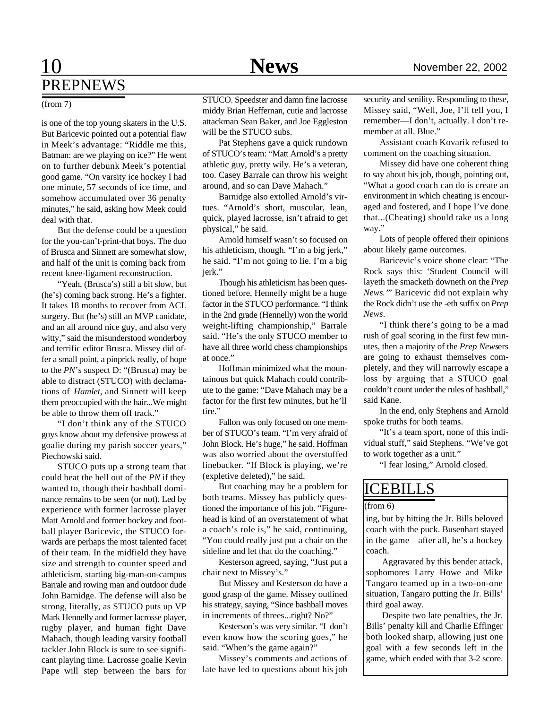# 10 **News** November 22, 2002 PREPNEWS

is one of the top young skaters in the U.S. But Baricevic pointed out a potential flaw in Meek's advantage: "Riddle me this, Batman: are we playing on ice?" He went on to further debunk Meek's potential good game. "On varsity ice hockey I had one minute, 57 seconds of ice time, and somehow accumulated over 36 penalty minutes," he said, asking how Meek could deal with that.

But the defense could be a question for the you-can't-print-that boys. The duo of Brusca and Sinnett are somewhat slow, and half of the unit is coming back from recent knee-ligament reconstruction.

"Yeah, (Brusca's) still a bit slow, but (he's) coming back strong. He's a fighter. It takes 18 months to recover from ACL surgery. But (he's) still an MVP canidate, and an all around nice guy, and also very witty," said the misunderstood wonderboy and terrific editor Brusca. Missey did offer a small point, a pinprick really, of hope to the *PN*'s suspect D: "(Brusca) may be able to distract (STUCO) with declamations of *Hamlet*, and Sinnett will keep them preoccupied with the hair...We might be able to throw them off track."

"I don't think any of the STUCO guys know about my defensive prowess at goalie during my parish soccer years," Piechowski said.

STUCO puts up a strong team that could beat the hell out of the *PN* if they wanted to, though their bashball dominance remains to be seen (or not). Led by experience with former lacrosse player Matt Arnold and former hockey and football player Baricevic, the STUCO forwards are perhaps the most talented facet of their team. In the midfield they have size and strength to counter speed and athleticism, starting big-man-on-campus Barrale and rowing man and outdoor dude John Barnidge. The defense will also be strong, literally, as STUCO puts up VP Mark Hennelly and former lacrosse player, rugby player, and human fight Dave Mahach, though leading varsity football tackler John Block is sure to see significant playing time. Lacrosse goalie Kevin Pape will step between the bars for

(from 7) STUCO. Speedster and damn fine lacrosse middy Brian Heffernan, cutie and lacrosse attackman Sean Baker, and Joe Eggleston will be the STUCO subs.

> Pat Stephens gave a quick rundown of STUCO's team: "Matt Arnold's a pretty athletic guy, pretty wily. He's a veteran, too. Casey Barrale can throw his weight around, and so can Dave Mahach."

> Barnidge also extolled Arnold's virtues. "Arnold's short, muscular, lean, quick, played lacrosse, isn't afraid to get physical," he said.

> Arnold himself wasn't so focused on his athleticism, though. "I'm a big jerk," he said. "I'm not going to lie. I'm a big jerk."

> Though his athleticism has been questioned before, Hennelly might be a huge factor in the STUCO performance. "I think in the 2nd grade (Hennelly) won the world weight-lifting championship," Barrale said. "He's the only STUCO member to have all three world chess championships at once."

> Hoffman minimized what the mountainous but quick Mahach could contribute to the game: "Dave Mahach may be a factor for the first few minutes, but he'll tire."

> Fallon was only focused on one member of STUCO's team. "I'm very afraid of John Block. He's huge," he said. Hoffman was also worried about the overstuffed linebacker. "If Block is playing, we're (expletive deleted)," he said.

> But coaching may be a problem for both teams. Missey has publicly questioned the importance of his job. "Figurehead is kind of an overstatement of what a coach's role is," he said, continuing, "You could really just put a chair on the sideline and let that do the coaching."

> Kesterson agreed, saying, "Just put a chair next to Missey's."

> But Missey and Kesterson do have a good grasp of the game. Missey outlined his strategy, saying, "Since bashball moves in increments of threes...right? No?"

> Kesterson's was very similar. "I don't even know how the scoring goes," he said. "When's the game again?"

> Missey's comments and actions of late have led to questions about his job

security and senility. Responding to these, Missey said, "Well, Joe, I'll tell you, I remember—I don't, actually. I don't remember at all. Blue."

Assistant coach Kovarik refused to comment on the coaching situation.

Missey did have one coherent thing to say about his job, though, pointing out, "What a good coach can do is create an environment in which cheating is encouraged and fostered, and I hope I've done that...(Cheating) should take us a long way."

Lots of people offered their opinions about likely game outcomes.

Baricevic's voice shone clear: "The Rock says this: 'Student Council will layeth the smacketh downeth on the *Prep News.'*" Baricevic did not explain why the Rock didn't use the -eth suffix on *Prep News*.

"I think there's going to be a mad rush of goal scoring in the first few minutes, then a majority of the *Prep News*ers are going to exhaust themselves completely, and they will narrowly escape a loss by arguing that a STUCO goal couldn't count under the rules of bashball," said Kane.

In the end, only Stephens and Arnold spoke truths for both teams.

"It's a team sport, none of this individual stuff," said Stephens. "We've got to work together as a unit."

"I fear losing," Arnold closed.

# ICEBILLS

(from 6)

ing, but by hitting the Jr. Bills beloved coach with the puck. Busenhart stayed in the game—after all, he's a hockey coach.

Aggravated by this bender attack, sophomores Larry Howe and Mike Tangaro teamed up in a two-on-one situation, Tangaro putting the Jr. Bills' third goal away.

Despite two late penalties, the Jr. Bills' penalty kill and Charlie Effinger both looked sharp, allowing just one goal with a few seconds left in the game, which ended with that 3-2 score.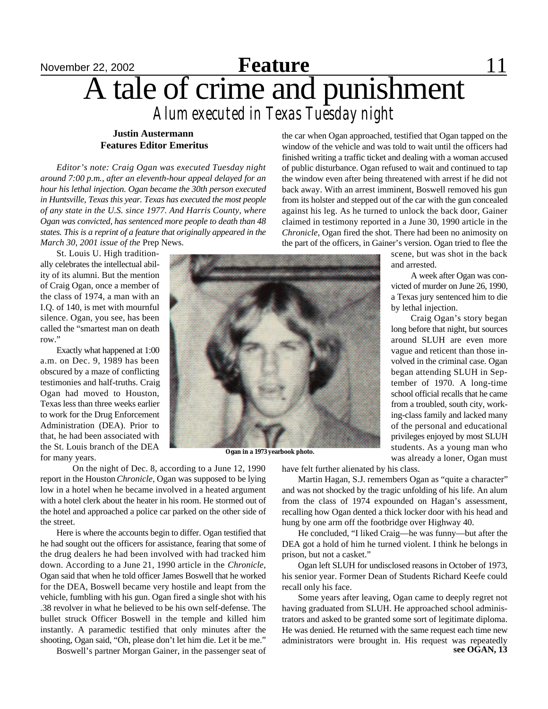# November 22, 2002 **Feature** 11 A tale of crime and punishment **Feature** *Alum executed in Texas Tuesday night*

## **Justin Austermann Features Editor Emeritus**

*Editor's note: Craig Ogan was executed Tuesday night around 7:00 p.m., after an eleventh-hour appeal delayed for an hour his lethal injection. Ogan became the 30th person executed in Huntsville, Texas this year. Texas has executed the most people of any state in the U.S. since 1977. And Harris County, where Ogan was convicted, has sentenced more people to death than 48 states. This is a reprint of a feature that originally appeared in the March 30, 2001 issue of the* Prep News.

St. Louis U. High traditionally celebrates the intellectual ability of its alumni. But the mention of Craig Ogan, once a member of the class of 1974, a man with an I.Q. of 140, is met with mournful silence. Ogan, you see, has been called the "smartest man on death row."

Exactly what happened at 1:00 a.m. on Dec. 9, 1989 has been obscured by a maze of conflicting testimonies and half-truths. Craig Ogan had moved to Houston, Texas less than three weeks earlier to work for the Drug Enforcement Administration (DEA). Prior to that, he had been associated with the St. Louis branch of the DEA for many years.



**Ogan in a 1973 yearbook photo.**

On the night of Dec. 8, according to a June 12, 1990 report in the Houston *Chronicle*, Ogan was supposed to be lying low in a hotel when he became involved in a heated argument with a hotel clerk about the heater in his room. He stormed out of the hotel and approached a police car parked on the other side of the street.

Here is where the accounts begin to differ. Ogan testified that he had sought out the officers for assistance, fearing that some of the drug dealers he had been involved with had tracked him down. According to a June 21, 1990 article in the *Chronicle*, Ogan said that when he told officer James Boswell that he worked for the DEA, Boswell became very hostile and leapt from the vehicle, fumbling with his gun. Ogan fired a single shot with his .38 revolver in what he believed to be his own self-defense. The bullet struck Officer Boswell in the temple and killed him instantly. A paramedic testified that only minutes after the shooting, Ogan said, "Oh, please don't let him die. Let it be me."

Boswell's partner Morgan Gainer, in the passenger seat of

the car when Ogan approached, testified that Ogan tapped on the window of the vehicle and was told to wait until the officers had finished writing a traffic ticket and dealing with a woman accused of public disturbance. Ogan refused to wait and continued to tap the window even after being threatened with arrest if he did not back away. With an arrest imminent, Boswell removed his gun from its holster and stepped out of the car with the gun concealed against his leg. As he turned to unlock the back door, Gainer claimed in testimony reported in a June 30, 1990 article in the *Chronicle*, Ogan fired the shot. There had been no animosity on the part of the officers, in Gainer's version. Ogan tried to flee the

> scene, but was shot in the back and arrested.

> A week after Ogan was convicted of murder on June 26, 1990, a Texas jury sentenced him to die by lethal injection.

> Craig Ogan's story began long before that night, but sources around SLUH are even more vague and reticent than those involved in the criminal case. Ogan began attending SLUH in September of 1970. A long-time school official recalls that he came from a troubled, south city, working-class family and lacked many of the personal and educational privileges enjoyed by most SLUH students. As a young man who was already a loner, Ogan must

have felt further alienated by his class.

Martin Hagan, S.J. remembers Ogan as "quite a character" and was not shocked by the tragic unfolding of his life. An alum from the class of 1974 expounded on Hagan's assessment, recalling how Ogan dented a thick locker door with his head and hung by one arm off the footbridge over Highway 40.

He concluded, "I liked Craig—he was funny—but after the DEA got a hold of him he turned violent. I think he belongs in prison, but not a casket."

Ogan left SLUH for undisclosed reasons in October of 1973, his senior year. Former Dean of Students Richard Keefe could recall only his face.

Some years after leaving, Ogan came to deeply regret not having graduated from SLUH. He approached school administrators and asked to be granted some sort of legitimate diploma. He was denied. He returned with the same request each time new administrators were brought in. His request was repeatedly **see OGAN, 13**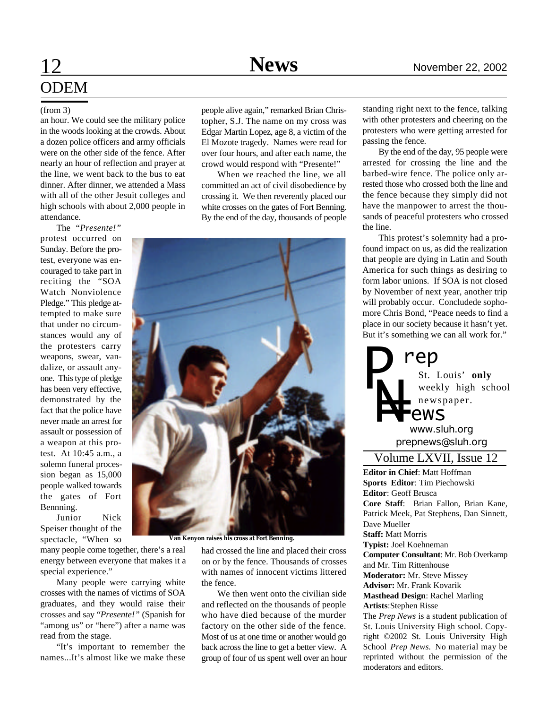# **ODEM**

### (from 3)

an hour. We could see the military police in the woods looking at the crowds. About a dozen police officers and army officials were on the other side of the fence. After nearly an hour of reflection and prayer at the line, we went back to the bus to eat dinner. After dinner, we attended a Mass with all of the other Jesuit colleges and high schools with about 2,000 people in attendance.

The "*Presente!"* protest occurred on

Sunday. Before the protest, everyone was encouraged to take part in reciting the "SOA Watch Nonviolence Pledge." This pledge attempted to make sure that under no circumstances would any of the protesters carry weapons, swear, vandalize, or assault anyone. This type of pledge has been very effective, demonstrated by the fact that the police have never made an arrest for assault or possession of a weapon at this protest. At 10:45 a.m., a solemn funeral procession began as 15,000 people walked towards the gates of Fort Bennning.

Junior Nick Speiser thought of the spectacle, "When so

many people come together, there's a real energy between everyone that makes it a special experience."

Many people were carrying white crosses with the names of victims of SOA graduates, and they would raise their crosses and say "*Presente!"* (Spanish for "among us" or "here") after a name was read from the stage.

"It's important to remember the names...It's almost like we make these

people alive again," remarked Brian Christopher, S.J. The name on my cross was Edgar Martin Lopez, age 8, a victim of the El Mozote tragedy. Names were read for over four hours, and after each name, the crowd would respond with "Presente!"

When we reached the line, we all committed an act of civil disobedience by crossing it. We then reverently placed our white crosses on the gates of Fort Benning. By the end of the day, thousands of people



**Van Kenyon raises his cross at Fort Benning.**

had crossed the line and placed their cross on or by the fence. Thousands of crosses with names of innocent victims littered the fence.

We then went onto the civilian side and reflected on the thousands of people who have died because of the murder factory on the other side of the fence. Most of us at one time or another would go back across the line to get a better view. A group of four of us spent well over an hour

standing right next to the fence, talking with other protesters and cheering on the protesters who were getting arrested for passing the fence.

By the end of the day, 95 people were arrested for crossing the line and the barbed-wire fence. The police only arrested those who crossed both the line and the fence because they simply did not have the manpower to arrest the thousands of peaceful protesters who crossed the line.

This protest's solemnity had a profound impact on us, as did the realization that people are dying in Latin and South America for such things as desiring to form labor unions. If SOA is not closed by November of next year, another trip will probably occur. Concludede sophomore Chris Bond, "Peace needs to find a place in our society because it hasn't yet. But it's something we can all work for."



*prepnews@sluh.org www.sluh.org*

## Volume LXVII, Issue 12

**Editor in Chief**: Matt Hoffman **Sports Editor**: Tim Piechowski **Editor**: Geoff Brusca **Core Staff**: Brian Fallon, Brian Kane, Patrick Meek, Pat Stephens, Dan Sinnett, Dave Mueller **Staff:** Matt Morris **Typist:** Joel Koehneman **Computer Consultant**: Mr. Bob Overkamp and Mr. Tim Rittenhouse **Moderator:** Mr. Steve Missey **Advisor:** Mr. Frank Kovarik **Masthead Design**: Rachel Marling **Artists**:Stephen Risse The *Prep News* is a student publication of

St. Louis University High school. Copyright ©2002 St. Louis University High School *Prep News.* No material may be reprinted without the permission of the moderators and editors.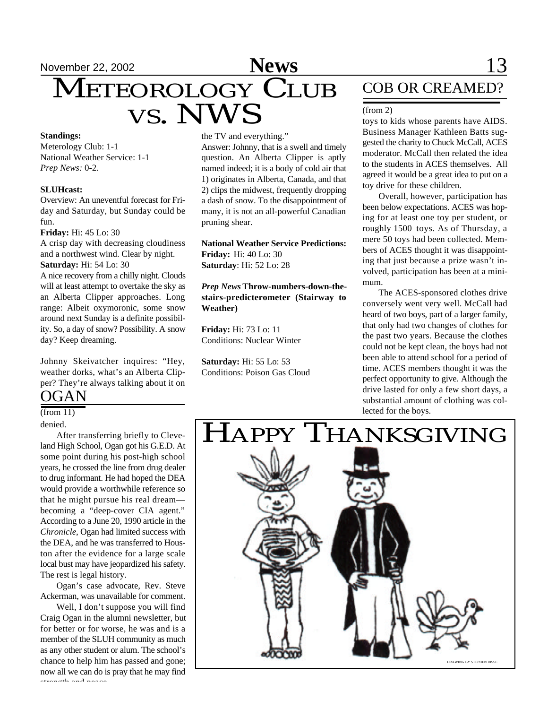# November 22, 2002 **News** 13 November 22, 2002<br>
METEOROLOGY CLUB VS. NWS

#### **Standings:**

Meterology Club: 1-1 National Weather Service: 1-1 *Prep News:* 0-2.

#### **SLUHcast:**

Overview: An uneventful forecast for Friday and Saturday, but Sunday could be fun.

**Friday:** Hi: 45 Lo: 30

A crisp day with decreasing cloudiness and a northwest wind. Clear by night. **Saturday:** Hi: 54 Lo: 30

A nice recovery from a chilly night. Clouds will at least attempt to overtake the sky as an Alberta Clipper approaches. Long range: Albeit oxymoronic, some snow around next Sunday is a definite possibility. So, a day of snow? Possibility. A snow day? Keep dreaming.

Johnny Skeivatcher inquires: "Hey, weather dorks, what's an Alberta Clipper? They're always talking about it on

# OGAN

 $(from 11)$ 

denied.

After transferring briefly to Cleveland High School, Ogan got his G.E.D. At some point during his post-high school years, he crossed the line from drug dealer to drug informant. He had hoped the DEA would provide a worthwhile reference so that he might pursue his real dream becoming a "deep-cover CIA agent." According to a June 20, 1990 article in the *Chronicle*, Ogan had limited success with the DEA, and he was transferred to Houston after the evidence for a large scale local bust may have jeopardized his safety. The rest is legal history.

Ogan's case advocate, Rev. Steve Ackerman, was unavailable for comment.

Well, I don't suppose you will find Craig Ogan in the alumni newsletter, but for better or for worse, he was and is a member of the SLUH community as much as any other student or alum. The school's chance to help him has passed and gone; now all we can do is pray that he may find strength and peace.

the TV and everything."

Answer: Johnny, that is a swell and timely question. An Alberta Clipper is aptly named indeed; it is a body of cold air that 1) originates in Alberta, Canada, and that 2) clips the midwest, frequently dropping a dash of snow. To the disappointment of many, it is not an all-powerful Canadian pruning shear.

**National Weather Service Predictions: Friday:** Hi: 40 Lo: 30 **Saturday**: Hi: 52 Lo: 28

*Prep News* **Throw-numbers-down-thestairs-predicterometer (Stairway to Weather)**

**Friday:** Hi: 73 Lo: 11 Conditions: Nuclear Winter

**Saturday:** Hi: 55 Lo: 53 Conditions: Poison Gas Cloud

# COB OR CREAMED?

#### (from 2)

toys to kids whose parents have AIDS. Business Manager Kathleen Batts suggested the charity to Chuck McCall, ACES moderator. McCall then related the idea to the students in ACES themselves. All agreed it would be a great idea to put on a toy drive for these children.

Overall, however, participation has been below expectations. ACES was hoping for at least one toy per student, or roughly 1500 toys. As of Thursday, a mere 50 toys had been collected. Members of ACES thought it was disappointing that just because a prize wasn't involved, participation has been at a minimum.

The ACES-sponsored clothes drive conversely went very well. McCall had heard of two boys, part of a larger family, that only had two changes of clothes for the past two years. Because the clothes could not be kept clean, the boys had not been able to attend school for a period of time. ACES members thought it was the perfect opportunity to give. Although the drive lasted for only a few short days, a substantial amount of clothing was collected for the boys.